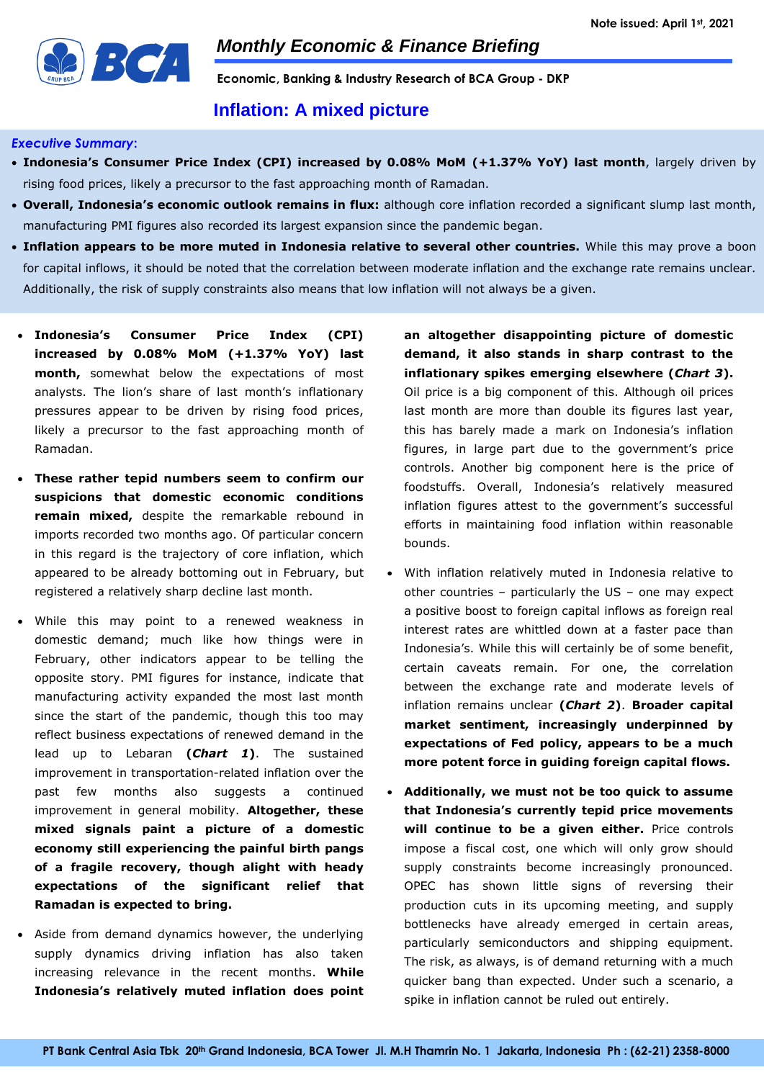

**Economic, Banking & Industry Research of BCA Group - DKP**

# **Inflation: A mixed picture**

### *Executive Summary***:**

- **Indonesia's Consumer Price Index (CPI) increased by 0.08% MoM (+1.37% YoY) last month**, largely driven by rising food prices, likely a precursor to the fast approaching month of Ramadan.
- **Overall, Indonesia's economic outlook remains in flux:** although core inflation recorded a significant slump last month, manufacturing PMI figures also recorded its largest expansion since the pandemic began.
- **Inflation appears to be more muted in Indonesia relative to several other countries.** While this may prove a boon for capital inflows, it should be noted that the correlation between moderate inflation and the exchange rate remains unclear. Additionally, the risk of supply constraints also means that low inflation will not always be a given.
- **Indonesia's Consumer Price Index (CPI) increased by 0.08% MoM (+1.37% YoY) last month,** somewhat below the expectations of most analysts. The lion's share of last month's inflationary pressures appear to be driven by rising food prices, likely a precursor to the fast approaching month of Ramadan.
- **These rather tepid numbers seem to confirm our suspicions that domestic economic conditions remain mixed,** despite the remarkable rebound in imports recorded two months ago. Of particular concern in this regard is the trajectory of core inflation, which appeared to be already bottoming out in February, but registered a relatively sharp decline last month.
- While this may point to a renewed weakness in domestic demand; much like how things were in February, other indicators appear to be telling the opposite story. PMI figures for instance, indicate that manufacturing activity expanded the most last month since the start of the pandemic, though this too may reflect business expectations of renewed demand in the lead up to Lebaran **(***Chart 1***)**. The sustained improvement in transportation-related inflation over the past few months also suggests a continued improvement in general mobility. **Altogether, these mixed signals paint a picture of a domestic economy still experiencing the painful birth pangs of a fragile recovery, though alight with heady expectations of the significant relief that Ramadan is expected to bring.**
- Aside from demand dynamics however, the underlying supply dynamics driving inflation has also taken increasing relevance in the recent months. **While Indonesia's relatively muted inflation does point**

**an altogether disappointing picture of domestic demand, it also stands in sharp contrast to the inflationary spikes emerging elsewhere (***Chart 3***).** Oil price is a big component of this. Although oil prices last month are more than double its figures last year, this has barely made a mark on Indonesia's inflation figures, in large part due to the government's price controls. Another big component here is the price of foodstuffs. Overall, Indonesia's relatively measured inflation figures attest to the government's successful efforts in maintaining food inflation within reasonable bounds.

- With inflation relatively muted in Indonesia relative to other countries – particularly the US – one may expect a positive boost to foreign capital inflows as foreign real interest rates are whittled down at a faster pace than Indonesia's. While this will certainly be of some benefit, certain caveats remain. For one, the correlation between the exchange rate and moderate levels of inflation remains unclear **(***Chart 2***)**. **Broader capital market sentiment, increasingly underpinned by expectations of Fed policy, appears to be a much more potent force in guiding foreign capital flows.**
- **Additionally, we must not be too quick to assume that Indonesia's currently tepid price movements will continue to be a given either.** Price controls impose a fiscal cost, one which will only grow should supply constraints become increasingly pronounced. OPEC has shown little signs of reversing their production cuts in its upcoming meeting, and supply bottlenecks have already emerged in certain areas, particularly semiconductors and shipping equipment. The risk, as always, is of demand returning with a much quicker bang than expected. Under such a scenario, a spike in inflation cannot be ruled out entirely.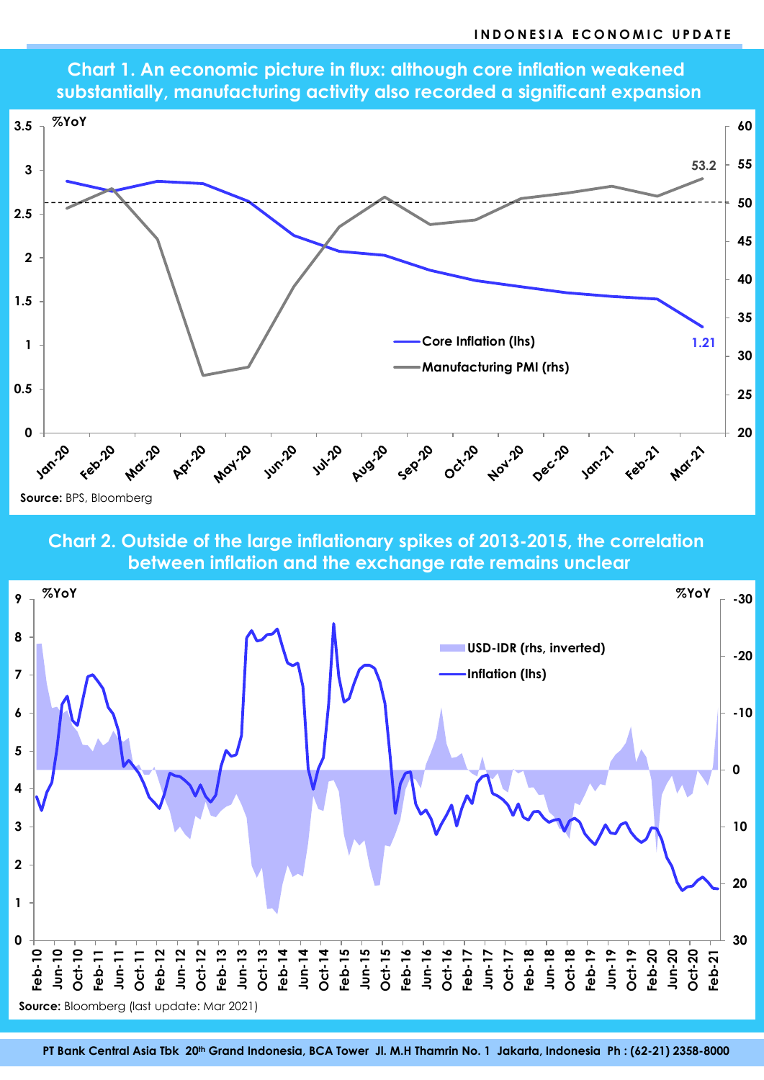

**Chart 1. An economic picture in flux: although core inflation weakened substantially, manufacturing activity also recorded a significant expansion**

**Chart 2. Outside of the large inflationary spikes of 2013-2015, the correlation between inflation and the exchange rate remains unclear**

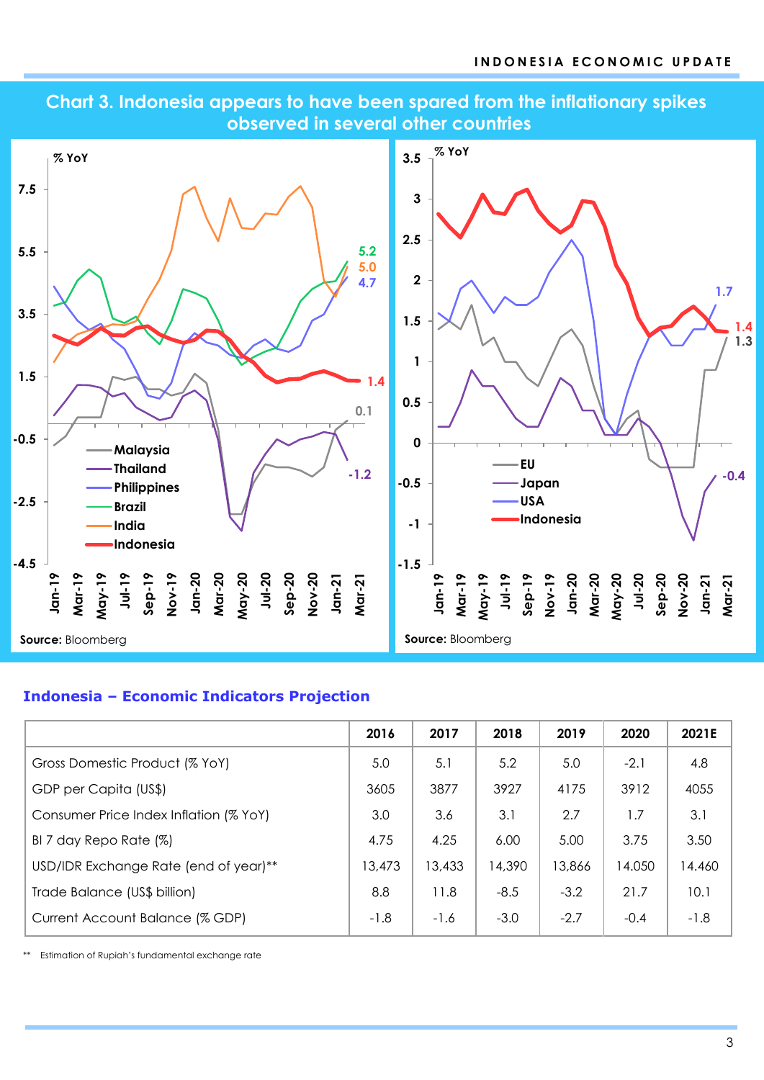

# **Chart 3. Indonesia appears to have been spared from the inflationary spikes observed in several other countries**

## **Indonesia – Economic Indicators Projection**

|                                        | 2016   | 2017   | 2018   | 2019   | 2020   | 2021E  |
|----------------------------------------|--------|--------|--------|--------|--------|--------|
| Gross Domestic Product (% YoY)         | 5.0    | 5.1    | 5.2    | 5.0    | $-2.1$ | 4.8    |
| GDP per Capita (US\$)                  | 3605   | 3877   | 3927   | 4175   | 3912   | 4055   |
| Consumer Price Index Inflation (% YoY) | 3.0    | 3.6    | 3.1    | 2.7    | 1.7    | 3.1    |
| BI 7 day Repo Rate (%)                 | 4.75   | 4.25   | 6.00   | 5.00   | 3.75   | 3.50   |
| USD/IDR Exchange Rate (end of year)**  | 13,473 | 13,433 | 14,390 | 13,866 | 14.050 | 14.460 |
| Trade Balance (US\$ billion)           | 8.8    | 11.8   | $-8.5$ | $-3.2$ | 21.7   | 10.1   |
| Current Account Balance (% GDP)        | $-1.8$ | $-1.6$ | $-3.0$ | $-2.7$ | $-0.4$ | $-1.8$ |

\*\* Estimation of Rupiah's fundamental exchange rate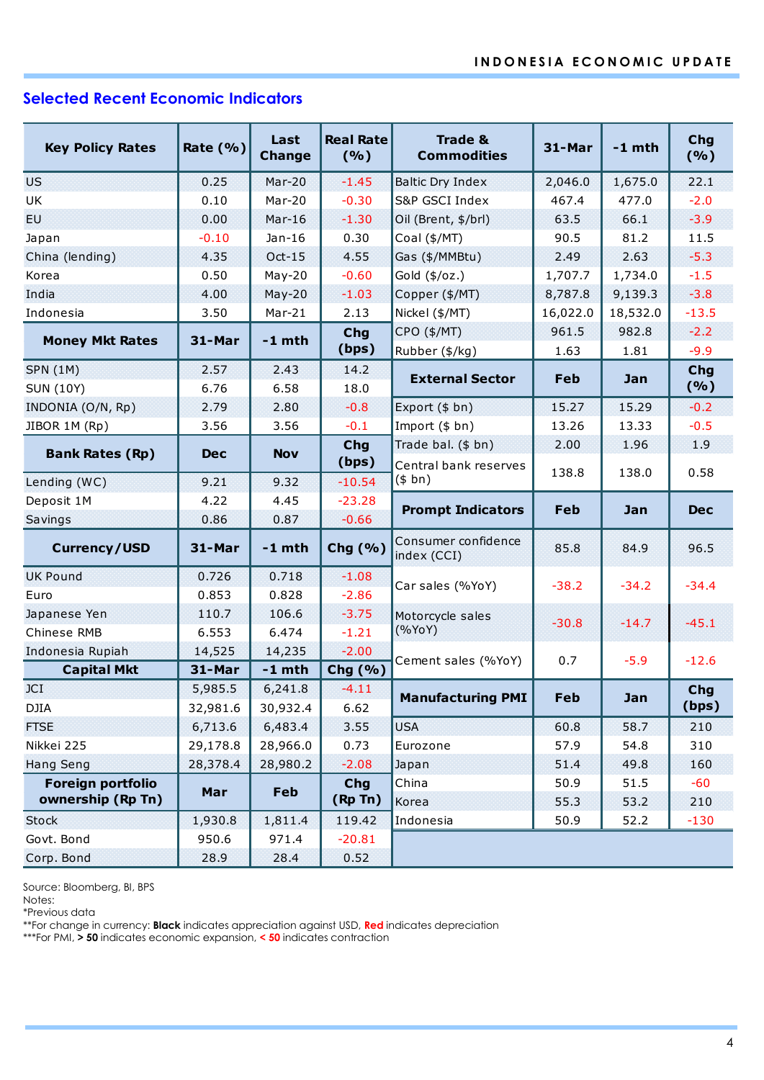# **Selected Recent Economic Indicators**

| <b>Key Policy Rates</b>  | Rate $(% )$ | Last<br><b>Change</b> | <b>Real Rate</b><br>(9/6)          | <b>Trade &amp;</b><br><b>Commodities</b> | 31-Mar     | $-1$ mth | Chg<br>(%) |  |
|--------------------------|-------------|-----------------------|------------------------------------|------------------------------------------|------------|----------|------------|--|
| <b>US</b>                | 0.25        | $Mar-20$              | $-1.45$<br><b>Baltic Dry Index</b> |                                          | 2,046.0    | 1,675.0  | 22.1       |  |
| UK                       | 0.10        | $Mar-20$              | $-0.30$<br>S&P GSCI Index          |                                          | 467.4      | 477.0    | $-2.0$     |  |
| <b>EU</b>                | 0.00        | $Mar-16$              | $-1.30$<br>Oil (Brent, \$/brl)     |                                          | 63.5       | 66.1     | $-3.9$     |  |
| Japan                    | $-0.10$     | $Jan-16$              | 0.30                               | Coal (\$/MT)                             | 90.5       | 81.2     | 11.5       |  |
| China (lending)          | 4.35        | $Oct-15$              | 4.55<br>Gas (\$/MMBtu)             |                                          | 2.49       | 2.63     | $-5.3$     |  |
| Korea                    | 0.50        | $May-20$              | $-0.60$<br>Gold (\$/oz.)           |                                          | 1,707.7    | 1,734.0  | $-1.5$     |  |
| India                    | 4.00        | $May-20$              | $-1.03$<br>Copper (\$/MT)          |                                          | 8,787.8    | 9,139.3  | $-3.8$     |  |
| Indonesia                | 3.50        | $Mar-21$              | 2.13<br>Nickel (\$/MT)             |                                          | 16,022.0   | 18,532.0 | $-13.5$    |  |
|                          |             |                       | <b>Chg</b>                         | CPO (\$/MT)                              | 961.5      | 982.8    | $-2.2$     |  |
| <b>Money Mkt Rates</b>   | 31-Mar      | $-1$ mth              | (bps)                              | Rubber (\$/kg)                           | 1.63       | 1.81     | $-9.9$     |  |
| <b>SPN (1M)</b>          | 2.57        | 2.43                  | 14.2                               | <b>External Sector</b>                   | Feb        |          | Chg        |  |
| <b>SUN (10Y)</b>         | 6.76        | 6.58                  | 18.0                               |                                          |            | Jan      | (%)        |  |
| INDONIA (O/N, Rp)        | 2.79        | 2.80                  | $-0.8$                             | Export (\$ bn)                           | 15.27      | 15.29    | $-0.2$     |  |
| JIBOR 1M (Rp)            | 3.56        | 3.56                  | $-0.1$                             | Import (\$ bn)                           | 13.26      | 13.33    | $-0.5$     |  |
| <b>Bank Rates (Rp)</b>   | <b>Dec</b>  | <b>Nov</b>            | Chg                                | Trade bal. (\$ bn)                       | 2.00       | 1.96     | 1.9        |  |
|                          |             |                       | (bps)                              | Central bank reserves                    | 138.8      | 138.0    | 0.58       |  |
| Lending (WC)             | 9.21        | 9.32                  | $-10.54$                           | (\$bn)                                   |            |          |            |  |
| Deposit 1M               | 4.22        | 4.45                  | $-23.28$                           | <b>Prompt Indicators</b>                 | <b>Feb</b> | Jan      | <b>Dec</b> |  |
| Savings                  | 0.86        | 0.87                  | $-0.66$                            |                                          |            |          |            |  |
| <b>Currency/USD</b>      | 31-Mar      | $-1$ mth              | Chg (%)                            | Consumer confidence<br>index (CCI)       | 85.8       | 84.9     | 96.5       |  |
| <b>UK Pound</b>          | 0.726       | 0.718                 | $-1.08$                            | Car sales (%YoY)                         | $-38.2$    | $-34.2$  | $-34.4$    |  |
| Euro                     | 0.853       | 0.828                 | $-2.86$                            |                                          |            |          |            |  |
| Japanese Yen             | 110.7       | 106.6                 | $-3.75$                            | Motorcycle sales                         | $-30.8$    | $-14.7$  | $-45.1$    |  |
| Chinese RMB              | 6.553       | 6.474                 | $-1.21$                            | (%YoY)                                   |            |          |            |  |
| Indonesia Rupiah         | 14,525      | 14,235                | $-2.00$                            | Cement sales (%YoY)                      | 0.7        | $-5.9$   | $-12.6$    |  |
| <b>Capital Mkt</b>       | 31-Mar      | $-1$ mth              | Chg (%)                            |                                          |            |          |            |  |
| JCI                      | 5,985.5     | 6,241.8               | $-4.11$                            | <b>Manufacturing PMI</b>                 | Feb        | Jan      | <b>Chg</b> |  |
| <b>DJIA</b>              | 32,981.6    | 30,932.4              | 6.62                               |                                          |            |          | (bps)      |  |
| <b>FTSE</b>              | 6,713.6     | 6,483.4               | 3.55                               | <b>USA</b>                               | 60.8       | 58.7     | 210        |  |
| Nikkei 225               | 29,178.8    | 28,966.0              | 0.73                               | Eurozone                                 | 57.9       | 54.8     | 310        |  |
| <b>Hang Seng</b>         | 28,378.4    | 28,980.2              | $-2.08$<br>Japan                   |                                          | 51.4       | 49.8     | 160        |  |
| <b>Foreign portfolio</b> | Mar         | <b>Feb</b>            | Chg                                | China                                    | 50.9       | 51.5     | $-60$      |  |
| ownership (Rp Tn)        |             |                       | (Rp Tn)                            | Korea                                    | 55.3       | 53.2     | 210        |  |
| Stock                    | 1,930.8     | 1,811.4               | 119.42                             | Indonesia                                | 50.9       | 52.2     | $-130$     |  |
| Govt. Bond               | 950.6       | 971.4                 | $-20.81$                           |                                          |            |          |            |  |
| Corp. Bond               | 28.9        | 28.4                  | 0.52                               |                                          |            |          |            |  |

Source: Bloomberg, BI, BPS

Notes:

\*Previous data

\*\*For change in currency: **Black** indicates appreciation against USD, **Red** indicates depreciation

\*\*\*For PMI, **> 50** indicates economic expansion, **< 50** indicates contraction